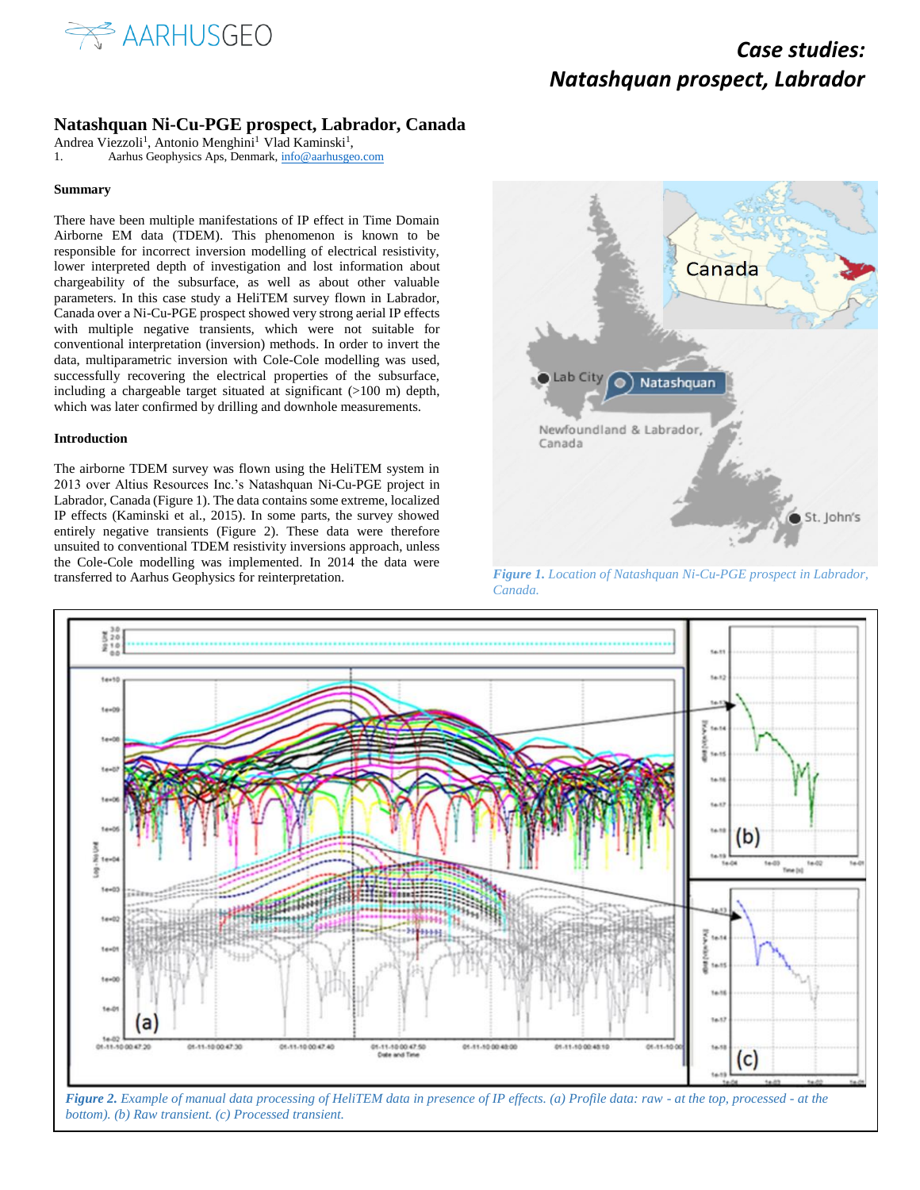

### **Natashquan Ni-Cu-PGE prospect, Labrador, Canada**

Andrea Viezzoli<sup>1</sup>, Antonio Menghini<sup>1</sup> Vlad Kaminski<sup>1</sup>,

1. Aarhus Geophysics Aps, Denmark[, info@aarhusgeo.com](mailto:info@aarhusgeo.com)

#### **Summary**

There have been multiple manifestations of IP effect in Time Domain Airborne EM data (TDEM). This phenomenon is known to be responsible for incorrect inversion modelling of electrical resistivity, lower interpreted depth of investigation and lost information about chargeability of the subsurface, as well as about other valuable parameters. In this case study a HeliTEM survey flown in Labrador, Canada over a Ni-Cu-PGE prospect showed very strong aerial IP effects with multiple negative transients, which were not suitable for conventional interpretation (inversion) methods. In order to invert the data, multiparametric inversion with Cole-Cole modelling was used, successfully recovering the electrical properties of the subsurface, including a chargeable target situated at significant (>100 m) depth, which was later confirmed by drilling and downhole measurements.

#### **Introduction**

The airborne TDEM survey was flown using the HeliTEM system in 2013 over Altius Resources Inc.'s Natashquan Ni-Cu-PGE project in Labrador, Canada (Figure 1). The data contains some extreme, localized IP effects (Kaminski et al., 2015). In some parts, the survey showed entirely negative transients (Figure 2). These data were therefore unsuited to conventional TDEM resistivity inversions approach, unless the Cole-Cole modelling was implemented. In 2014 the data were transferred to Aarhus Geophysics for reinterpretation. *Figure 1. Location of Natashquan Ni-Cu-PGE prospect in Labrador,* 



*Canada.*



*bottom). (b) Raw transient. (c) Processed transient.*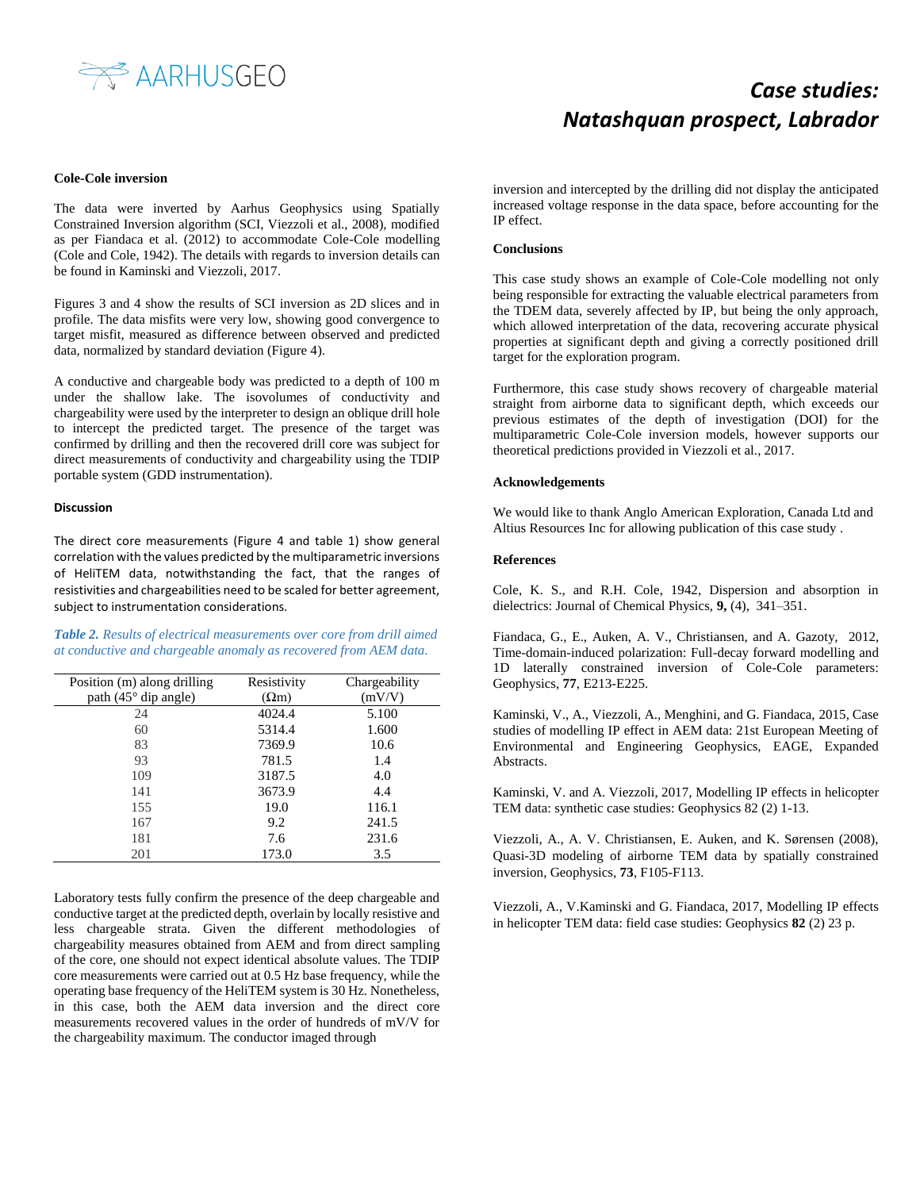

#### **Cole-Cole inversion**

The data were inverted by Aarhus Geophysics using Spatially Constrained Inversion algorithm (SCI, Viezzoli et al., 2008), modified as per Fiandaca et al. (2012) to accommodate Cole-Cole modelling (Cole and Cole, 1942). The details with regards to inversion details can be found in Kaminski and Viezzoli, 2017.

Figures 3 and 4 show the results of SCI inversion as 2D slices and in profile. The data misfits were very low, showing good convergence to target misfit, measured as difference between observed and predicted data, normalized by standard deviation (Figure 4).

A conductive and chargeable body was predicted to a depth of 100 m under the shallow lake. The isovolumes of conductivity and chargeability were used by the interpreter to design an oblique drill hole to intercept the predicted target. The presence of the target was confirmed by drilling and then the recovered drill core was subject for direct measurements of conductivity and chargeability using the TDIP portable system (GDD instrumentation).

#### **Discussion**

The direct core measurements (Figure 4 and table 1) show general correlation with the values predicted by the multiparametric inversions of HeliTEM data, notwithstanding the fact, that the ranges of resistivities and chargeabilities need to be scaled for better agreement, subject to instrumentation considerations.

*Table 2. Results of electrical measurements over core from drill aimed at conductive and chargeable anomaly as recovered from AEM data.*

| Position (m) along drilling   | Resistivity  | Chargeability |
|-------------------------------|--------------|---------------|
| path $(45^{\circ}$ dip angle) | $(\Omega m)$ | (mV/V)        |
| 24                            | 4024.4       | 5.100         |
| 60                            | 5314.4       | 1.600         |
| 83                            | 7369.9       | 10.6          |
| 93                            | 781.5        | 1.4           |
| 109                           | 3187.5       | 4.0           |
| 141                           | 3673.9       | 4.4           |
| 155                           | 19.0         | 116.1         |
| 167                           | 9.2          | 241.5         |
| 181                           | 7.6          | 231.6         |
| 201                           | 173.0        | 3.5           |

Laboratory tests fully confirm the presence of the deep chargeable and conductive target at the predicted depth, overlain by locally resistive and less chargeable strata. Given the different methodologies of chargeability measures obtained from AEM and from direct sampling of the core, one should not expect identical absolute values. The TDIP core measurements were carried out at 0.5 Hz base frequency, while the operating base frequency of the HeliTEM system is 30 Hz. Nonetheless, in this case, both the AEM data inversion and the direct core measurements recovered values in the order of hundreds of mV/V for the chargeability maximum. The conductor imaged through

inversion and intercepted by the drilling did not display the anticipated increased voltage response in the data space, before accounting for the IP effect.

#### **Conclusions**

This case study shows an example of Cole-Cole modelling not only being responsible for extracting the valuable electrical parameters from the TDEM data, severely affected by IP, but being the only approach, which allowed interpretation of the data, recovering accurate physical properties at significant depth and giving a correctly positioned drill target for the exploration program.

Furthermore, this case study shows recovery of chargeable material straight from airborne data to significant depth, which exceeds our previous estimates of the depth of investigation (DOI) for the multiparametric Cole-Cole inversion models, however supports our theoretical predictions provided in Viezzoli et al., 2017.

#### **Acknowledgements**

We would like to thank Anglo American Exploration, Canada Ltd and Altius Resources Inc for allowing publication of this case study .

### **References**

Cole, K. S., and R.H. Cole, 1942, Dispersion and absorption in dielectrics: Journal of Chemical Physics, **9,** (4), 341–351.

Fiandaca, G., E., Auken, A. V., Christiansen, and A. Gazoty, 2012, Time-domain-induced polarization: Full-decay forward modelling and 1D laterally constrained inversion of Cole-Cole parameters: Geophysics, **77**, E213-E225.

Kaminski, V., A., Viezzoli, A., Menghini, and G. Fiandaca, 2015, Case studies of modelling IP effect in AEM data: 21st European Meeting of Environmental and Engineering Geophysics, EAGE, Expanded Abstracts.

Kaminski, V. and A. Viezzoli, 2017, Modelling IP effects in helicopter TEM data: synthetic case studies: Geophysics 82 (2) 1-13.

Viezzoli, A., A. V. Christiansen, E. Auken, and K. Sørensen (2008), Quasi-3D modeling of airborne TEM data by spatially constrained inversion, Geophysics, **73**, F105-F113.

Viezzoli, A., V.Kaminski and G. Fiandaca, 2017, Modelling IP effects in helicopter TEM data: field case studies: Geophysics **82** (2) 23 p.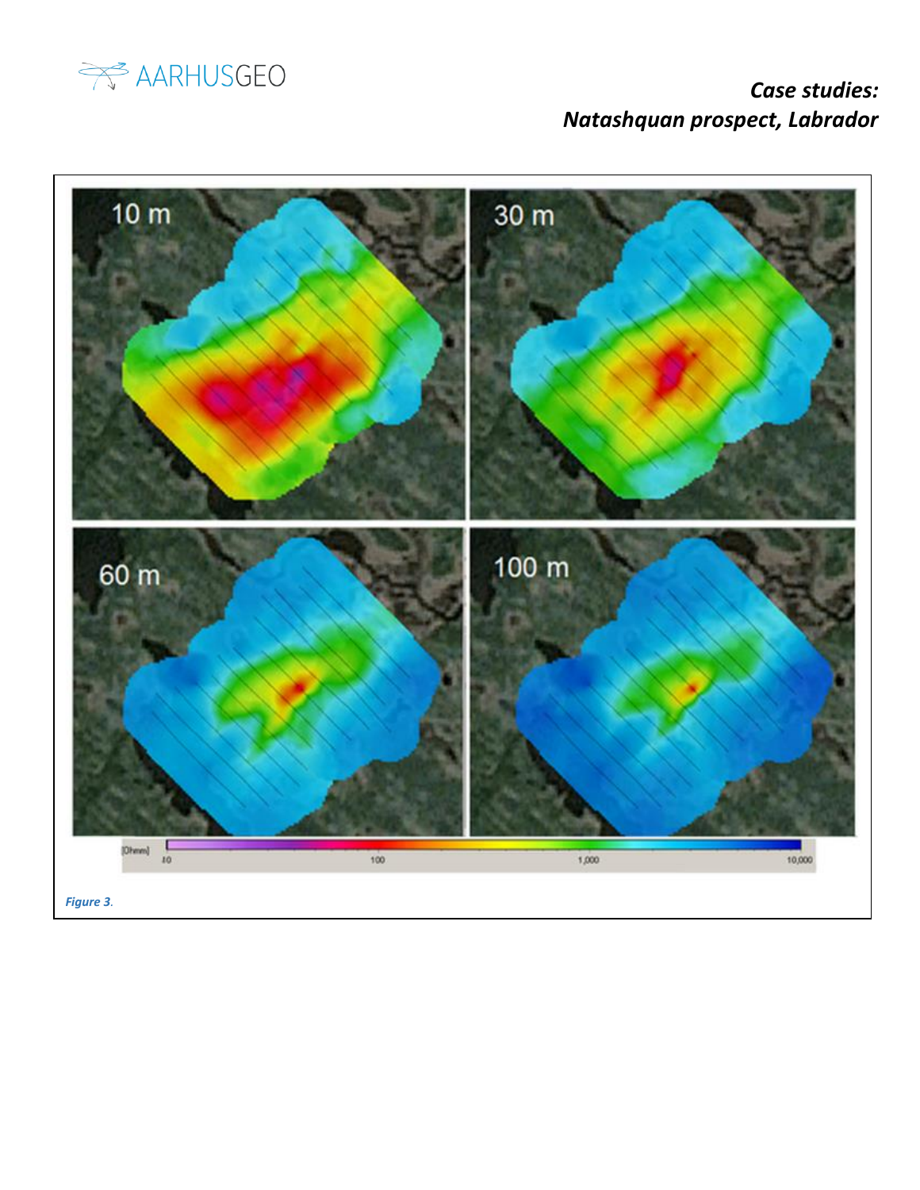